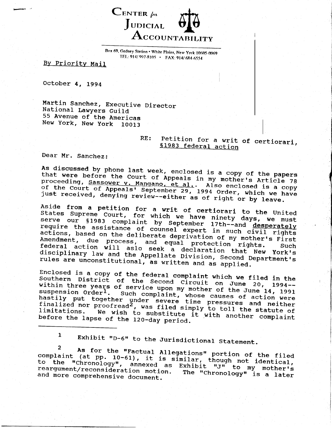

Box 69, Gedney Station . White Plains, New York 10605-0069 TEL: 914/ 997-8105 · FAX: 914/ 684-6554

By Priority Mail

October 4, 1994

Martin Sanchez, Executive Director National Lawyers Guild 55 Avenue of the Americas New York, New York 10013

## Petition for a writ of certiorari,  $RE:$ §1983 federal action

Dear Mr. Sanchez:

 $\overline{2}$ 

As discussed by phone last week, enclosed is a copy of the papers that were before the Court of Appeals in my mother's Article 78 proceeding, Sassower v. Mangano, et al.. Also enclosed is a copy of the Court of Appeals' September 29, 1994 Order, which we have just received, denying review--either as of right or by leave.

Aside from a petition for a writ of certiorari to the United States Supreme Court, for which we have ninety days, we must serve our §1983 complaint by September 17th--and desperately require the assistance of counsel expert in such civil rights actions, based on the deliberate deprivation of my mother's First Amendment, due process, and equal protection rights. federal action will aslo seek a declaration that New York's disciplinary law and the Appellate Division, Second Department's rules are unconstitutional, as written and as applied.

Enclosed is a copy of the federal complaint which we filed in the Southern District of the Second Circuit on June 20, 1994within three years of service upon my mother of the June 14, 1991 suspension Order<sup>1</sup>. Such complaint, whose causes of action were<br>hastily put together under severe time pressures and neither finalized nor proofread<sup>2</sup>, was filed simply to toll the statute of limitations. We wish to substitute it with another complaint before the lapse of the 120-day period.

 $\mathbf{1}$ Exhibit "D-6" to the Jurisdictional Statement.

As for the "Factual Allegations" portion of the filed complaint (at pp. 10-61), it is similar, though not identical, to the "chronology", annexed as Exhibit "J" to my mother's reargument/reconsideration motion. The "Chronology" is a later and more comprehensive document.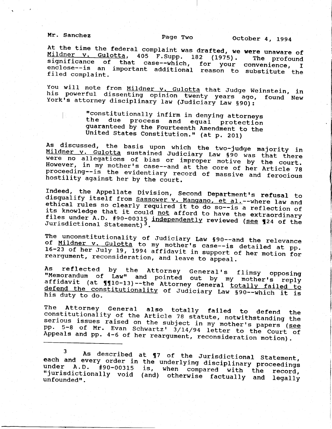Mr. Sanchez

Page Two 0ctober 4, 1994

Mildner v. Gulotta, 405 F.Supp. 18 At the time the federal complaint was drafted, we were unaware of <u>Mildner v. Gulotta</u>, 405 F.Supp. 182 (1975). The profound significance of that case--which, for your convenience, I enclose--is an important additional reason to substitute the<br>filed complaint.

You will note from <u>Mildner v. Gulotta</u> that Judge Weinstein, in<br>his powerful dissenting opinion twenty years ago, found New<br>York's attorney disciplinary law (Judiciary Law §90):

"constitutionally infirm in denying attorneys<br>the due process and equal protection<br>guaranteed by the Fourteenth Amendment to the<br>United States Constitution." (at p. 201)

As discussed, the basis upon which the two-judge majority in<br><u>Mildner v. Gulotta</u> sustained Judiciary Law §90 was that there<br>were no allegations of bias or improper motive by the court. However, in my mother's case--and at the core of her Article 78 proceeding--is the evidentiary record of massive and ferocious<br>hostility against her by the court.

Indeed, the Appellate Division, Second Department's refusal to<br>disqualify itself from Sassower v. Mangano, et al.--where law and<br>ethical rules so clearly required it to do so--is a reflection of<br>its knowledge that it coul

The unconstitutionality of Judiciary Law §90--and the relevance<br>of <u>Mildner v. Gulotta</u> to my mother's case--is detailed at pp.<br>16-23 of her July 19, 1994 affidavit in support of her motion for<br>reargument, reconsideration,

As reflected by the Attorney General's flimsy opposing<br>"Memorandum of Law" and pointed out by my mother's reply affidavi of Law" and pointed out by my mother's reply<br>(at  $\P$  $\P$ 10-13)--the Attorney General totally failed to his duty to do. defend the constitutionality of Judiciary Law §90--which it is

The Attorney General also totally failed to constitutionality of the Article 78 statute, notwithstanding the<br>serious issues raised on the subject in my mother's papers (see<br>pp. 5-8 of Mr. Evan Schwartz' 3/14/94 letter to the Court of serious issues raised on the subject in my mother's papers (see<br>pp. 5-8 of Mr. Evan Schwartz' 3/14/94 letter to the Court of pp. 5-8 of Mr. Evan Schwartz'  $3/14/94$  letter to the Court Appeals and pp. 4-6 of her reargument, reconsideration motion).

3 As described at ¶7 of the Jurisdictional Statement each and every order in the underlying disciplinary proceeding<br>under A.D. #90-00315 is, when compared with the proceeding under A.D. #90-00315 is, when compared with the<br>"jurisdictionally void (and) otherwise factually and<br>unfounded". under A.D. #90-00315 is, when compared with the record<br>"jurisdictionally void (and) otherwise factually and legall<sub>!</sub><br>unfounded".